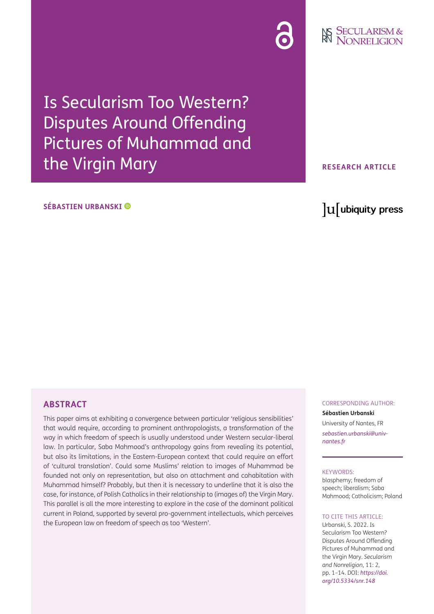

# **NS SECULARISM &**

Is Secularism Too Western? Disputes Around Offending Pictures of Muhammad and the Virgin Mary

### **SÉBASTIEN URBANSKI**

# **RESEARCH ARTICLE**

lu ubiquity press

#### **ABSTRACT**

This paper aims at exhibiting a convergence between particular 'religious sensibilities' that would require, according to prominent anthropologists, a transformation of the way in which freedom of speech is usually understood under Western secular-liberal law. In particular, Saba Mahmood's anthropology gains from revealing its potential, but also its limitations, in the Eastern-European context that could require an effort of 'cultural translation'. Could some Muslims' relation to images of Muhammad be founded not only on representation, but also on attachment and cohabitation with Muhammad himself? Probably, but then it is necessary to underline that it is also the case, for instance, of Polish Catholics in their relationship to (images of) the Virgin Mary. This parallel is all the more interesting to explore in the case of the dominant political current in Poland, supported by several pro-government intellectuals, which perceives the European law on freedom of speech as too 'Western'.

# CORRESPONDING AUTHOR: **Sébastien Urbanski**

University of Nantes, FR *[sebastien.urbanski@univ](mailto:sebastien.urbanski@univ-nantes.fr)[nantes.fr](mailto:sebastien.urbanski@univ-nantes.fr)*

#### KEYWORDS:

blasphemy; freedom of speech; liberalism; Saba Mahmood; Catholicism; Poland

#### TO CITE THIS ARTICLE:

Urbanski, S. 2022. Is Secularism Too Western? Disputes Around Offending Pictures of Muhammad and the Virgin Mary. *Secularism and Nonreligion*, 11: 2, pp. 1–14. DOI: *[https://doi.](https://doi.org/10.5334/snr.148) [org/10.5334/snr.148](https://doi.org/10.5334/snr.148)*